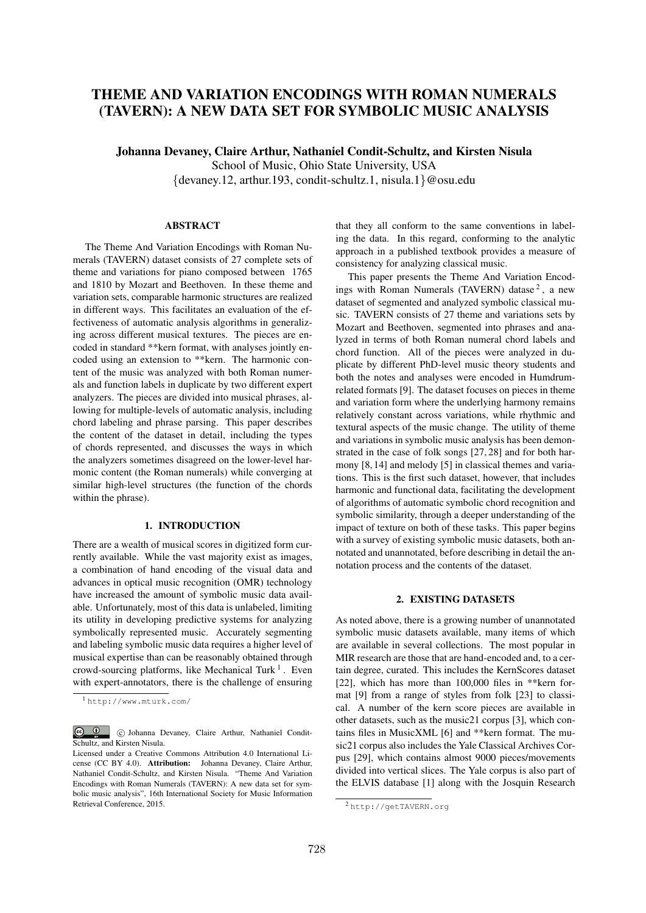# THEME AND VARIATION ENCODINGS WITH ROMAN NUMERALS (TAVERN): A NEW DATA SET FOR SYMBOLIC MUSIC ANALYSIS

Johanna Devaney, Claire Arthur, Nathaniel Condit-Schultz, and Kirsten Nisula

School of Music, Ohio State University, USA

*{*devaney.12, arthur.193, condit-schultz.1, nisula.1*}*@osu.edu

# ABSTRACT

The Theme And Variation Encodings with Roman Numerals (TAVERN) dataset consists of 27 complete sets of theme and variations for piano composed between 1765 and 1810 by Mozart and Beethoven. In these theme and variation sets, comparable harmonic structures are realized in different ways. This facilitates an evaluation of the effectiveness of automatic analysis algorithms in generalizing across different musical textures. The pieces are encoded in standard \*\*kern format, with analyses jointly encoded using an extension to \*\*kern. The harmonic content of the music was analyzed with both Roman numerals and function labels in duplicate by two different expert analyzers. The pieces are divided into musical phrases, allowing for multiple-levels of automatic analysis, including chord labeling and phrase parsing. This paper describes the content of the dataset in detail, including the types of chords represented, and discusses the ways in which the analyzers sometimes disagreed on the lower-level harmonic content (the Roman numerals) while converging at similar high-level structures (the function of the chords within the phrase).

#### 1. INTRODUCTION

There are a wealth of musical scores in digitized form currently available. While the vast majority exist as images, a combination of hand encoding of the visual data and advances in optical music recognition (OMR) technology have increased the amount of symbolic music data available. Unfortunately, most of this data is unlabeled, limiting its utility in developing predictive systems for analyzing symbolically represented music. Accurately segmenting and labeling symbolic music data requires a higher level of musical expertise than can be reasonably obtained through crowd-sourcing platforms, like Mechanical Turk<sup>1</sup>. Even with expert-annotators, there is the challenge of ensuring that they all conform to the same conventions in labeling the data. In this regard, conforming to the analytic approach in a published textbook provides a measure of consistency for analyzing classical music.

This paper presents the Theme And Variation Encodings with Roman Numerals (TAVERN) datase<sup>2</sup>, a new dataset of segmented and analyzed symbolic classical music. TAVERN consists of 27 theme and variations sets by Mozart and Beethoven, segmented into phrases and analyzed in terms of both Roman numeral chord labels and chord function. All of the pieces were analyzed in duplicate by different PhD-level music theory students and both the notes and analyses were encoded in Humdrumrelated formats [9]. The dataset focuses on pieces in theme and variation form where the underlying harmony remains relatively constant across variations, while rhythmic and textural aspects of the music change. The utility of theme and variations in symbolic music analysis has been demonstrated in the case of folk songs [27, 28] and for both harmony [8, 14] and melody [5] in classical themes and variations. This is the first such dataset, however, that includes harmonic and functional data, facilitating the development of algorithms of automatic symbolic chord recognition and symbolic similarity, through a deeper understanding of the impact of texture on both of these tasks. This paper begins with a survey of existing symbolic music datasets, both annotated and unannotated, before describing in detail the annotation process and the contents of the dataset.

### 2. EXISTING DATASETS

As noted above, there is a growing number of unannotated symbolic music datasets available, many items of which are available in several collections. The most popular in MIR research are those that are hand-encoded and, to a certain degree, curated. This includes the KernScores dataset [22], which has more than  $100,000$  files in \*\*kern format [9] from a range of styles from folk [23] to classical. A number of the kern score pieces are available in other datasets, such as the music21 corpus [3], which contains files in MusicXML [6] and \*\*kern format. The music21 corpus also includes the Yale Classical Archives Corpus [29], which contains almost 9000 pieces/movements divided into vertical slices. The Yale corpus is also part of the ELVIS database [1] along with the Josquin Research

<sup>1</sup> http://www.mturk.com/

C <sup>1</sup> C Johanna Devaney, Claire Arthur, Nathaniel Condit-Schultz, and Kirsten Nisula.

Licensed under a Creative Commons Attribution 4.0 International License (CC BY 4.0). Attribution: Johanna Devaney, Claire Arthur, Nathaniel Condit-Schultz, and Kirsten Nisula. "Theme And Variation Encodings with Roman Numerals (TAVERN): A new data set for symbolic music analysis", 16th International Society for Music Information Retrieval Conference, 2015.

<sup>2</sup> http://getTAVERN.org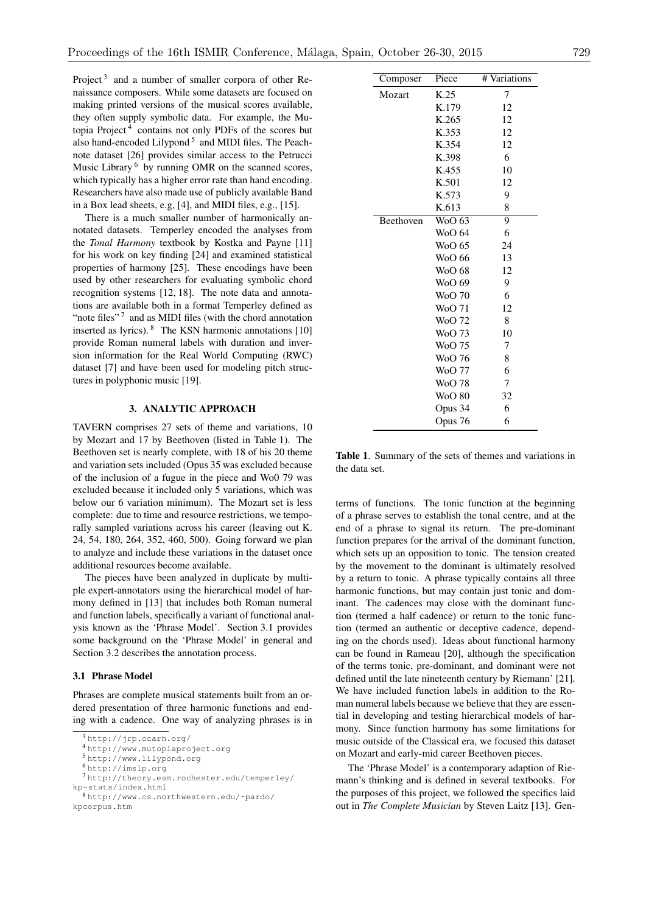Project<sup>3</sup> and a number of smaller corpora of other Renaissance composers. While some datasets are focused on making printed versions of the musical scores available, they often supply symbolic data. For example, the Mutopia Project <sup>4</sup> contains not only PDFs of the scores but also hand-encoded Lilypond<sup>5</sup> and MIDI files. The Peachnote dataset [26] provides similar access to the Petrucci Music Library<sup>6</sup> by running OMR on the scanned scores, which typically has a higher error rate than hand encoding. Researchers have also made use of publicly available Band in a Box lead sheets, e.g, [4], and MIDI files, e.g., [15].

There is a much smaller number of harmonically annotated datasets. Temperley encoded the analyses from the *Tonal Harmony* textbook by Kostka and Payne [11] for his work on key finding [24] and examined statistical properties of harmony [25]. These encodings have been used by other researchers for evaluating symbolic chord recognition systems [12, 18]. The note data and annotations are available both in a format Temperley defined as "note files" $7$  and as MIDI files (with the chord annotation inserted as lyrics). <sup>8</sup> The KSN harmonic annotations [10] provide Roman numeral labels with duration and inversion information for the Real World Computing (RWC) dataset [7] and have been used for modeling pitch structures in polyphonic music [19].

# 3. ANALYTIC APPROACH

TAVERN comprises 27 sets of theme and variations, 10 by Mozart and 17 by Beethoven (listed in Table 1). The Beethoven set is nearly complete, with 18 of his 20 theme and variation sets included (Opus 35 was excluded because of the inclusion of a fugue in the piece and Wo0 79 was excluded because it included only 5 variations, which was below our 6 variation minimum). The Mozart set is less complete: due to time and resource restrictions, we temporally sampled variations across his career (leaving out K. 24, 54, 180, 264, 352, 460, 500). Going forward we plan to analyze and include these variations in the dataset once additional resources become available.

The pieces have been analyzed in duplicate by multiple expert-annotators using the hierarchical model of harmony defined in [13] that includes both Roman numeral and function labels, specifically a variant of functional analysis known as the 'Phrase Model'. Section 3.1 provides some background on the 'Phrase Model' in general and Section 3.2 describes the annotation process.

### 3.1 Phrase Model

Phrases are complete musical statements built from an ordered presentation of three harmonic functions and ending with a cadence. One way of analyzing phrases is in

| Composer  | Piece         | # Variations |
|-----------|---------------|--------------|
| Mozart    | K.25          | 7            |
|           | K.179         | 12           |
|           | K.265         | 12           |
|           | K.353         | 12           |
|           | K.354         | 12           |
|           | K.398         | 6            |
|           | K.455         | 10           |
|           | K.501         | 12           |
|           | K.573         | 9            |
|           | K.613         | 8            |
| Beethoven | WoO 63        | 9            |
|           | <b>WoO</b> 64 | 6            |
|           | WoO 65        | 24           |
|           | WoO 66        | 13           |
|           | <b>WoO</b> 68 | 12           |
|           | WoO 69        | 9            |
|           | <b>WoO 70</b> | 6            |
|           | <b>WoO 71</b> | 12           |
|           | WoO 72        | 8            |
|           | <b>WoO</b> 73 | 10           |
|           | WoO 75        | 7            |
|           | <b>WoO 76</b> | 8            |
|           | <b>WoO</b> 77 | 6            |
|           | <b>WoO 78</b> | 7            |
|           | <b>WoO 80</b> | 32           |
|           | Opus 34       | 6            |
|           | Opus 76       | 6            |
|           |               |              |

Table 1. Summary of the sets of themes and variations in the data set.

terms of functions. The tonic function at the beginning of a phrase serves to establish the tonal centre, and at the end of a phrase to signal its return. The pre-dominant function prepares for the arrival of the dominant function, which sets up an opposition to tonic. The tension created by the movement to the dominant is ultimately resolved by a return to tonic. A phrase typically contains all three harmonic functions, but may contain just tonic and dominant. The cadences may close with the dominant function (termed a half cadence) or return to the tonic function (termed an authentic or deceptive cadence, depending on the chords used). Ideas about functional harmony can be found in Rameau [20], although the specification of the terms tonic, pre-dominant, and dominant were not defined until the late nineteenth century by Riemann' [21]. We have included function labels in addition to the Roman numeral labels because we believe that they are essential in developing and testing hierarchical models of harmony. Since function harmony has some limitations for music outside of the Classical era, we focused this dataset on Mozart and early-mid career Beethoven pieces.

The 'Phrase Model' is a contemporary adaption of Riemann's thinking and is defined in several textbooks. For the purposes of this project, we followed the specifics laid out in *The Complete Musician* by Steven Laitz [13]. Gen-

<sup>3</sup> http://jrp.ccarh.org/

<sup>4</sup> http://www.mutopiaproject.org

<sup>5</sup> http://www.lilypond.org

<sup>6</sup> http://imslp.org

<sup>7</sup> http://theory.esm.rochester.edu/temperley/ kp-stats/index.html<br><sup>8</sup> http://www.cs.northwestern.edu/~pardo/

kpcorpus.htm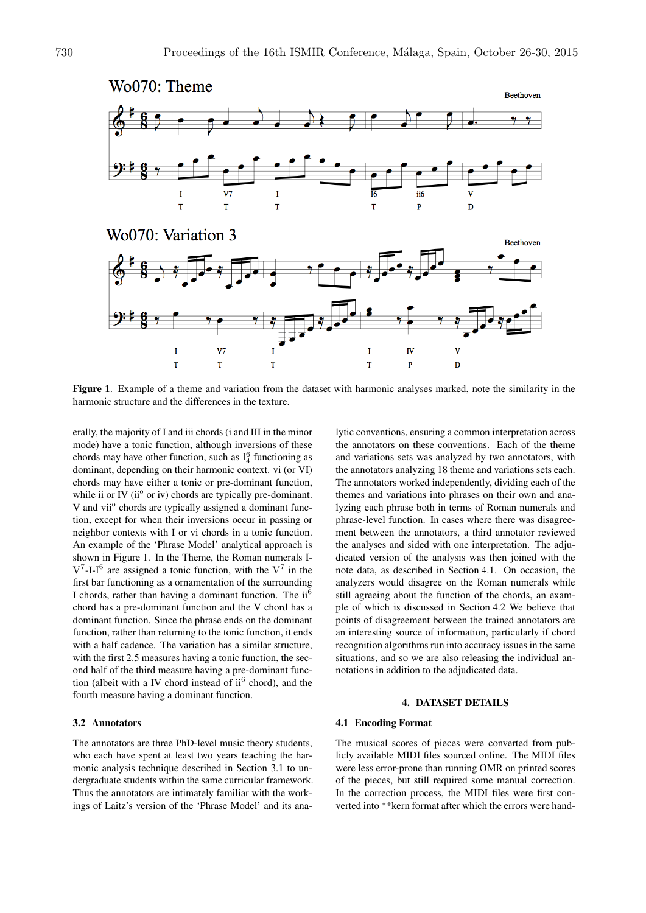

Figure 1. Example of a theme and variation from the dataset with harmonic analyses marked, note the similarity in the harmonic structure and the differences in the texture.

erally, the majority of I and iii chords (i and III in the minor mode) have a tonic function, although inversions of these chords may have other function, such as  $I_4^6$  functioning as dominant, depending on their harmonic context. vi (or VI) chords may have either a tonic or pre-dominant function, while ii or IV ( $ii^{\circ}$  or iv) chords are typically pre-dominant. V and vii<sup>o</sup> chords are typically assigned a dominant function, except for when their inversions occur in passing or neighbor contexts with I or vi chords in a tonic function. An example of the 'Phrase Model' analytical approach is shown in Figure 1. In the Theme, the Roman numerals I- $V^7$ -I-I<sup>6</sup> are assigned a tonic function, with the  $V^7$  in the first bar functioning as a ornamentation of the surrounding I chords, rather than having a dominant function. The  $ii^6$ chord has a pre-dominant function and the V chord has a dominant function. Since the phrase ends on the dominant function, rather than returning to the tonic function, it ends with a half cadence. The variation has a similar structure, with the first 2.5 measures having a tonic function, the second half of the third measure having a pre-dominant function (albeit with a IV chord instead of  $ii^6$  chord), and the fourth measure having a dominant function.

#### 3.2 Annotators

The annotators are three PhD-level music theory students, who each have spent at least two years teaching the harmonic analysis technique described in Section 3.1 to undergraduate students within the same curricular framework. Thus the annotators are intimately familiar with the workings of Laitz's version of the 'Phrase Model' and its ana-

lytic conventions, ensuring a common interpretation across the annotators on these conventions. Each of the theme and variations sets was analyzed by two annotators, with the annotators analyzing 18 theme and variations sets each. The annotators worked independently, dividing each of the themes and variations into phrases on their own and analyzing each phrase both in terms of Roman numerals and phrase-level function. In cases where there was disagreement between the annotators, a third annotator reviewed the analyses and sided with one interpretation. The adjudicated version of the analysis was then joined with the note data, as described in Section 4.1. On occasion, the analyzers would disagree on the Roman numerals while still agreeing about the function of the chords, an example of which is discussed in Section 4.2 We believe that points of disagreement between the trained annotators are an interesting source of information, particularly if chord recognition algorithms run into accuracy issues in the same situations, and so we are also releasing the individual annotations in addition to the adjudicated data.

#### 4. DATASET DETAILS

# 4.1 Encoding Format

The musical scores of pieces were converted from publicly available MIDI files sourced online. The MIDI files were less error-prone than running OMR on printed scores of the pieces, but still required some manual correction. In the correction process, the MIDI files were first converted into \*\*kern format after which the errors were hand-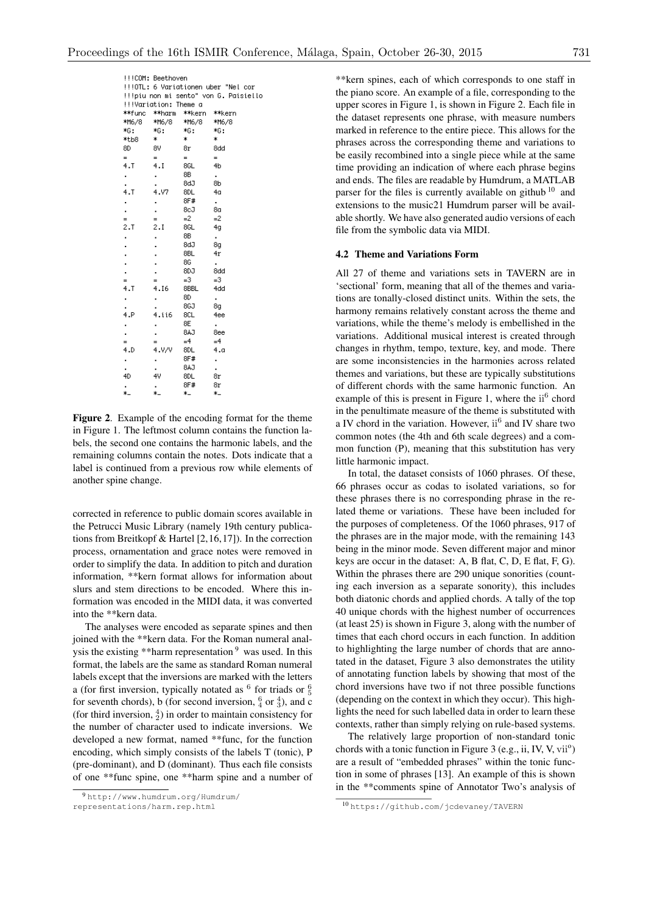|                                                                              | !!!COM: Beethoven |        |        |  |  |
|------------------------------------------------------------------------------|-------------------|--------|--------|--|--|
| !!!OTL: 6 Variationen uber "Nel cor<br>!!!piu non mi sento" von G. Paisiello |                   |        |        |  |  |
| !!!Variation: Theme a                                                        |                   |        |        |  |  |
| **func                                                                       | **harm            | **kern | **kern |  |  |
| *M6/8                                                                        | *M6/8             | *M6/8  | *M6/8  |  |  |
| *6:                                                                          | *G:               | *G:    | *G:    |  |  |
| *tb8                                                                         | *                 | *      | *      |  |  |
| 8D                                                                           | 8V                | 8r     | 8dd    |  |  |
| $=$                                                                          | $=$               | $=$    | $=$    |  |  |
| 4.7                                                                          | 4.1               | 8GL    | 4b     |  |  |
|                                                                              |                   | 8В     | ٠      |  |  |
|                                                                              |                   | 8dJ    | 8b     |  |  |
| 4.7                                                                          | 4.V7              | 8DL    | 4a     |  |  |
| ٠                                                                            |                   | 8F#    | ٠      |  |  |
| $\blacksquare$                                                               | $\blacksquare$    | 8cJ    | 8a     |  |  |
| $=$                                                                          | $=$               | $=2$   | $=2$   |  |  |
| 2.1                                                                          | 2.1               | 8GL    | 4a     |  |  |
| $\blacksquare$                                                               |                   | 8В     | ٠      |  |  |
|                                                                              |                   | Gb8    | 8a     |  |  |
|                                                                              |                   | 8BL    | 4r     |  |  |
|                                                                              |                   | 86     | ٠      |  |  |
|                                                                              |                   | 8DJ    | 8dd    |  |  |
| $=$                                                                          | $=$               | $=3$   | $=3$   |  |  |
| 4.1                                                                          | 4.I6              | 8BBL   | 4dd    |  |  |
|                                                                              |                   | 8D     | ٠      |  |  |
|                                                                              |                   | 8GJ    | 8g     |  |  |
| 4.P                                                                          | 4.ii6             | 8CL    | 4ee    |  |  |
| ٠                                                                            |                   | 8Е     | ä,     |  |  |
|                                                                              | ï                 | 8AJ    | 8ee    |  |  |
| $=$                                                                          | $=$               | $=4$   | $=4$   |  |  |
| 4.D                                                                          | 4.V/V             | 8DL    | 4.a    |  |  |
|                                                                              |                   | 8F#    | ٠      |  |  |
|                                                                              |                   | 6AJ    |        |  |  |
| 4D                                                                           | 4V                | 8DL    | 8r     |  |  |
|                                                                              |                   | 8F#    | 8r     |  |  |
| ÷.                                                                           | ÷                 | ste i  | w.     |  |  |

Figure 2. Example of the encoding format for the theme in Figure 1. The leftmost column contains the function labels, the second one contains the harmonic labels, and the remaining columns contain the notes. Dots indicate that a label is continued from a previous row while elements of another spine change.

corrected in reference to public domain scores available in the Petrucci Music Library (namely 19th century publications from Breitkopf & Hartel [2,16,17]). In the correction process, ornamentation and grace notes were removed in order to simplify the data. In addition to pitch and duration information, \*\*kern format allows for information about slurs and stem directions to be encoded. Where this information was encoded in the MIDI data, it was converted into the \*\*kern data.

The analyses were encoded as separate spines and then joined with the \*\*kern data. For the Roman numeral analysis the existing \*\*harm representation <sup>9</sup> was used. In this format, the labels are the same as standard Roman numeral labels except that the inversions are marked with the letters a (for first inversion, typically notated as  $6$  for triads or  $\frac{6}{5}$ for seventh chords), b (for second inversion,  $\frac{6}{4}$  or  $\frac{4}{3}$ ), and c (for third inversion,  $\frac{4}{2}$ ) in order to maintain consistency for the number of character used to indicate inversions. We developed a new format, named \*\*func, for the function encoding, which simply consists of the labels T (tonic), P (pre-dominant), and D (dominant). Thus each file consists of one \*\*func spine, one \*\*harm spine and a number of \*\*kern spines, each of which corresponds to one staff in the piano score. An example of a file, corresponding to the upper scores in Figure 1, is shown in Figure 2. Each file in the dataset represents one phrase, with measure numbers marked in reference to the entire piece. This allows for the phrases across the corresponding theme and variations to be easily recombined into a single piece while at the same time providing an indication of where each phrase begins and ends. The files are readable by Humdrum, a MATLAB parser for the files is currently available on github  $10$  and extensions to the music21 Humdrum parser will be available shortly. We have also generated audio versions of each file from the symbolic data via MIDI.

### 4.2 Theme and Variations Form

All 27 of theme and variations sets in TAVERN are in 'sectional' form, meaning that all of the themes and variations are tonally-closed distinct units. Within the sets, the harmony remains relatively constant across the theme and variations, while the theme's melody is embellished in the variations. Additional musical interest is created through changes in rhythm, tempo, texture, key, and mode. There are some inconsistencies in the harmonies across related themes and variations, but these are typically substitutions of different chords with the same harmonic function. An example of this is present in Figure 1, where the  $ii^6$  chord in the penultimate measure of the theme is substituted with a IV chord in the variation. However,  $ii^6$  and IV share two common notes (the 4th and 6th scale degrees) and a common function (P), meaning that this substitution has very little harmonic impact.

In total, the dataset consists of 1060 phrases. Of these, 66 phrases occur as codas to isolated variations, so for these phrases there is no corresponding phrase in the related theme or variations. These have been included for the purposes of completeness. Of the 1060 phrases, 917 of the phrases are in the major mode, with the remaining 143 being in the minor mode. Seven different major and minor keys are occur in the dataset: A, B flat, C, D, E flat, F, G). Within the phrases there are 290 unique sonorities (counting each inversion as a separate sonority), this includes both diatonic chords and applied chords. A tally of the top 40 unique chords with the highest number of occurrences (at least 25) is shown in Figure 3, along with the number of times that each chord occurs in each function. In addition to highlighting the large number of chords that are annotated in the dataset, Figure 3 also demonstrates the utility of annotating function labels by showing that most of the chord inversions have two if not three possible functions (depending on the context in which they occur). This highlights the need for such labelled data in order to learn these contexts, rather than simply relying on rule-based systems.

The relatively large proportion of non-standard tonic chords with a tonic function in Figure 3 (e.g., ii, IV, V, vii<sup>o</sup>) are a result of "embedded phrases" within the tonic function in some of phrases [13]. An example of this is shown in the \*\*comments spine of Annotator Two's analysis of

<sup>9</sup> http://www.humdrum.org/Humdrum/ representations/harm.rep.html

<sup>10</sup> https://github.com/jcdevaney/TAVERN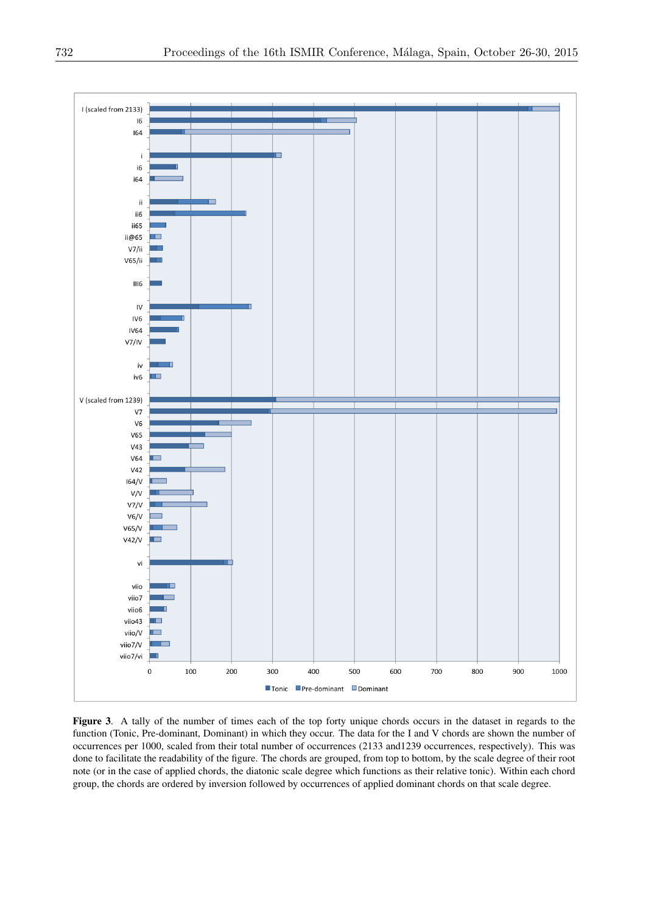

Figure 3. A tally of the number of times each of the top forty unique chords occurs in the dataset in regards to the function (Tonic, Pre-dominant, Dominant) in which they occur. The data for the I and V chords are shown the number of occurrences per 1000, scaled from their total number of occurrences (2133 and1239 occurrences, respectively). This was done to facilitate the readability of the figure. The chords are grouped, from top to bottom, by the scale degree of their root note (or in the case of applied chords, the diatonic scale degree which functions as their relative tonic). Within each chord group, the chords are ordered by inversion followed by occurrences of applied dominant chords on that scale degree.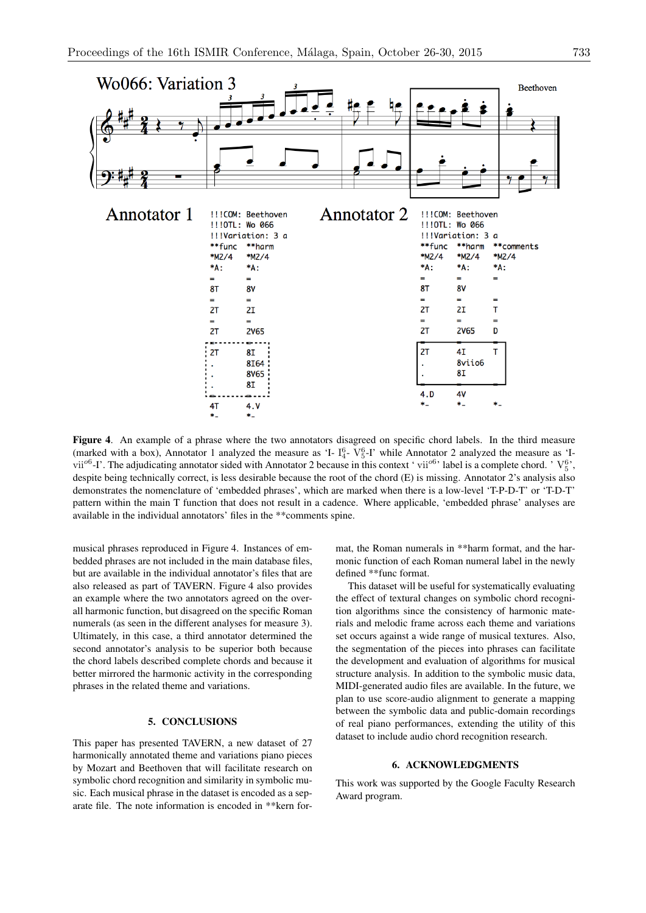

Figure 4. An example of a phrase where the two annotators disagreed on specific chord labels. In the third measure (marked with a box), Annotator 1 analyzed the measure as 'I-  $I_4^6$ -  $V_5^6$ -I' while Annotator 2 analyzed the measure as 'Ivii<sup>o6</sup>-I'. The adjudicating annotator sided with Annotator 2 because in this context 'vii<sup>o6</sup>' label is a complete chord. 'V<sup>6</sup>' despite being technically correct, is less desirable because the root of the chord (E) is missing. Annotator 2's analysis also demonstrates the nomenclature of 'embedded phrases', which are marked when there is a low-level 'T-P-D-T' or 'T-D-T' pattern within the main T function that does not result in a cadence. Where applicable, 'embedded phrase' analyses are available in the individual annotators' files in the \*\*comments spine.

musical phrases reproduced in Figure 4. Instances of embedded phrases are not included in the main database files, but are available in the individual annotator's files that are also released as part of TAVERN. Figure 4 also provides an example where the two annotators agreed on the overall harmonic function, but disagreed on the specific Roman numerals (as seen in the different analyses for measure 3). Ultimately, in this case, a third annotator determined the second annotator's analysis to be superior both because the chord labels described complete chords and because it better mirrored the harmonic activity in the corresponding phrases in the related theme and variations.

# 5. CONCLUSIONS

This paper has presented TAVERN, a new dataset of 27 harmonically annotated theme and variations piano pieces by Mozart and Beethoven that will facilitate research on symbolic chord recognition and similarity in symbolic music. Each musical phrase in the dataset is encoded as a separate file. The note information is encoded in \*\*kern format, the Roman numerals in \*\*harm format, and the harmonic function of each Roman numeral label in the newly defined \*\*func format.

This dataset will be useful for systematically evaluating the effect of textural changes on symbolic chord recognition algorithms since the consistency of harmonic materials and melodic frame across each theme and variations set occurs against a wide range of musical textures. Also, the segmentation of the pieces into phrases can facilitate the development and evaluation of algorithms for musical structure analysis. In addition to the symbolic music data, MIDI-generated audio files are available. In the future, we plan to use score-audio alignment to generate a mapping between the symbolic data and public-domain recordings of real piano performances, extending the utility of this dataset to include audio chord recognition research.

### 6. ACKNOWLEDGMENTS

This work was supported by the Google Faculty Research Award program.